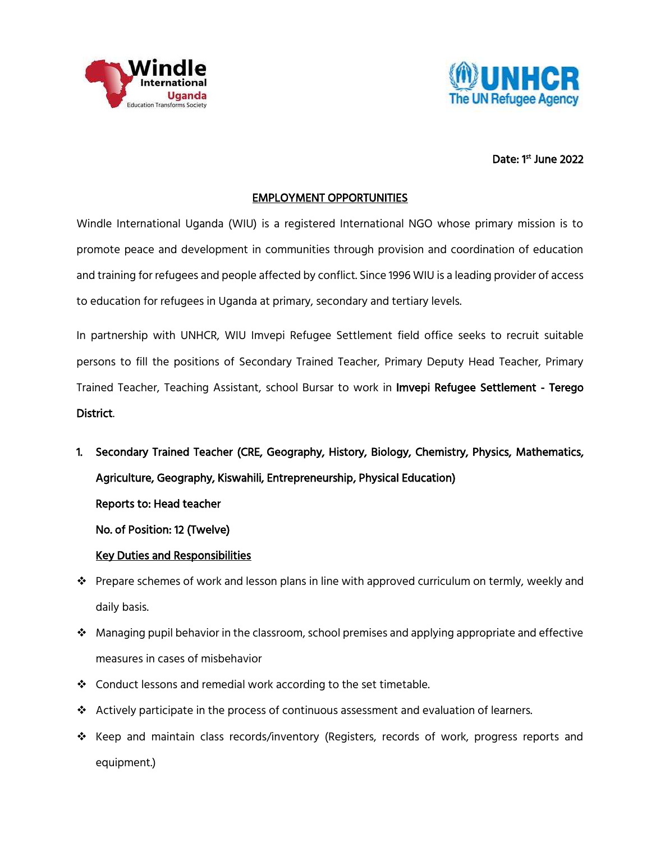



# Date: 1<sup>st</sup> June 2022

### EMPLOYMENT OPPORTUNITIES

Windle International Uganda (WIU) is a registered International NGO whose primary mission is to promote peace and development in communities through provision and coordination of education and training for refugees and people affected by conflict. Since 1996 WIU is a leading provider of access to education for refugees in Uganda at primary, secondary and tertiary levels.

In partnership with UNHCR, WIU Imvepi Refugee Settlement field office seeks to recruit suitable persons to fill the positions of Secondary Trained Teacher, Primary Deputy Head Teacher, Primary Trained Teacher, Teaching Assistant, school Bursar to work in Imvepi Refugee Settlement - Terego District.

1. Secondary Trained Teacher (CRE, Geography, History, Biology, Chemistry, Physics, Mathematics, Agriculture, Geography, Kiswahili, Entrepreneurship, Physical Education) Reports to: Head teacher

No. of Position: 12 (Twelve)

### Key Duties and Responsibilities

- $\cdot \cdot$  Prepare schemes of work and lesson plans in line with approved curriculum on termly, weekly and daily basis.
- $\cdot \cdot$  Managing pupil behavior in the classroom, school premises and applying appropriate and effective measures in cases of misbehavior
- ❖ Conduct lessons and remedial work according to the set timetable.
- $\triangle$  Actively participate in the process of continuous assessment and evaluation of learners.
- \* Keep and maintain class records/inventory (Registers, records of work, progress reports and equipment.)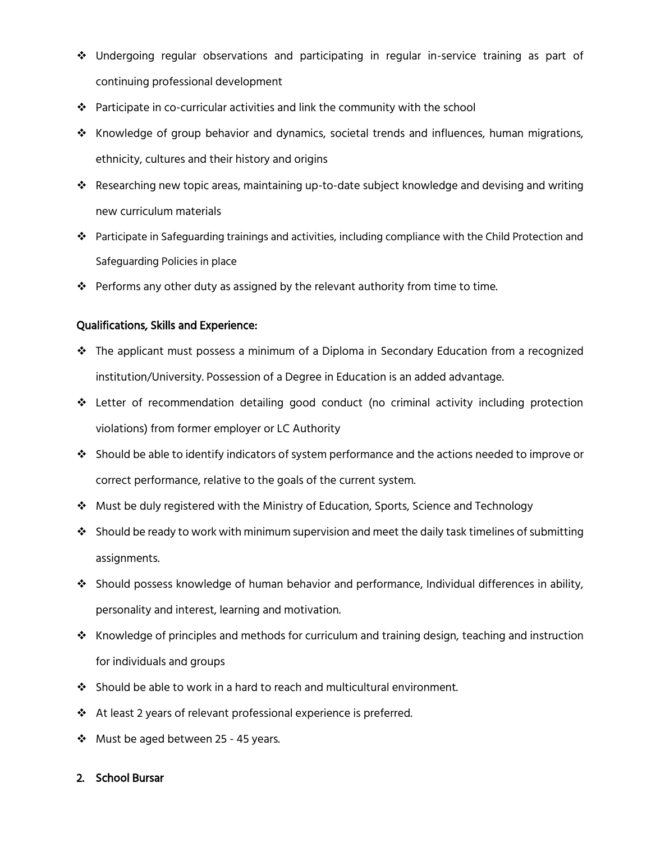- Undergoing regular observations and participating in regular in-service training as part of continuing professional development
- Participate in co-curricular activities and link the community with the school
- $\div$  Knowledge of group behavior and dynamics, societal trends and influences, human migrations, ethnicity, cultures and their history and origins
- $\cdot \cdot$  Researching new topic areas, maintaining up-to-date subject knowledge and devising and writing new curriculum materials
- Participate in Safeguarding trainings and activities, including compliance with the Child Protection and Safeguarding Policies in place
- $\clubsuit$  Performs any other duty as assigned by the relevant authority from time to time.

### Qualifications, Skills and Experience:

- The applicant must possess a minimum of a Diploma in Secondary Education from a recognized institution/University. Possession of a Degree in Education is an added advantage.
- Letter of recommendation detailing good conduct (no criminal activity including protection violations) from former employer or LC Authority
- $\bullet$  Should be able to identify indicators of system performance and the actions needed to improve or correct performance, relative to the goals of the current system.
- $\cdot \cdot$  Must be duly registered with the Ministry of Education, Sports, Science and Technology
- \* Should be ready to work with minimum supervision and meet the daily task timelines of submitting assignments.
- Should possess knowledge of human behavior and performance, Individual differences in ability, personality and interest, learning and motivation.
- $\clubsuit$  Knowledge of principles and methods for curriculum and training design, teaching and instruction for individuals and groups
- $\cdot$  Should be able to work in a hard to reach and multicultural environment.
- ◆ At least 2 years of relevant professional experience is preferred.
- ❖ Must be aged between 25 45 years.

### 2. School Bursar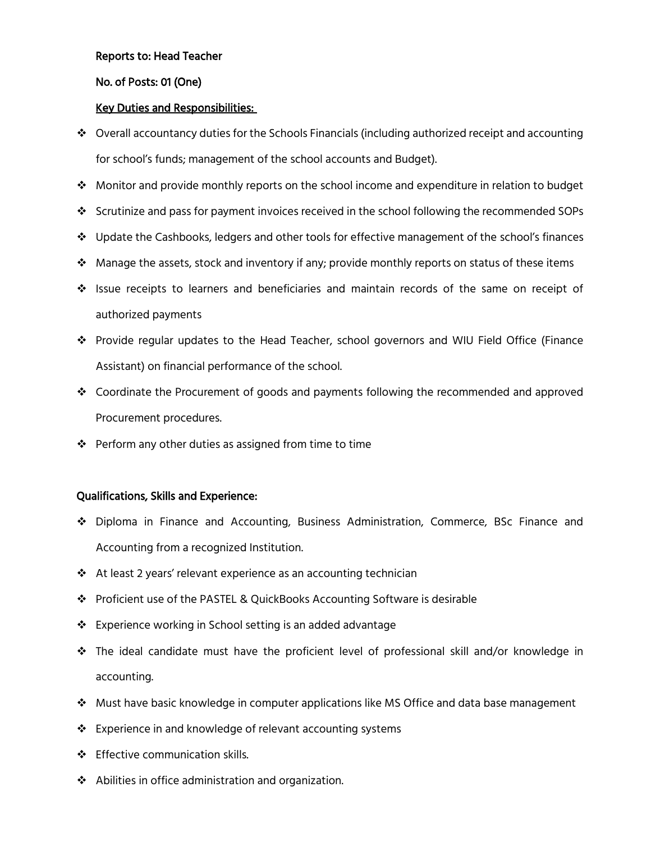### Reports to: Head Teacher

# No. of Posts: 01 (One)

# Key Duties and Responsibilities:

- $\div$  Overall accountancy duties for the Schools Financials (including authorized receipt and accounting for school's funds; management of the school accounts and Budget).
- $\clubsuit$  Monitor and provide monthly reports on the school income and expenditure in relation to budget
- $\div$  Scrutinize and pass for payment invoices received in the school following the recommended SOPs
- $\div$  Update the Cashbooks, ledgers and other tools for effective management of the school's finances
- $\mathbf{\hat{P}}$  Manage the assets, stock and inventory if any; provide monthly reports on status of these items
- $\clubsuit$  Issue receipts to learners and beneficiaries and maintain records of the same on receipt of authorized payments
- Provide regular updates to the Head Teacher, school governors and WIU Field Office (Finance Assistant) on financial performance of the school.
- Coordinate the Procurement of goods and payments following the recommended and approved Procurement procedures.
- $\div$  Perform any other duties as assigned from time to time

# Qualifications, Skills and Experience:

- Diploma in Finance and Accounting, Business Administration, Commerce, BSc Finance and Accounting from a recognized Institution.
- At least 2 years' relevant experience as an accounting technician
- Proficient use of the PASTEL & QuickBooks Accounting Software is desirable
- ❖ Experience working in School setting is an added advantage
- The ideal candidate must have the proficient level of professional skill and/or knowledge in accounting.
- Must have basic knowledge in computer applications like MS Office and data base management
- Experience in and knowledge of relevant accounting systems
- ❖ Effective communication skills.
- Abilities in office administration and organization.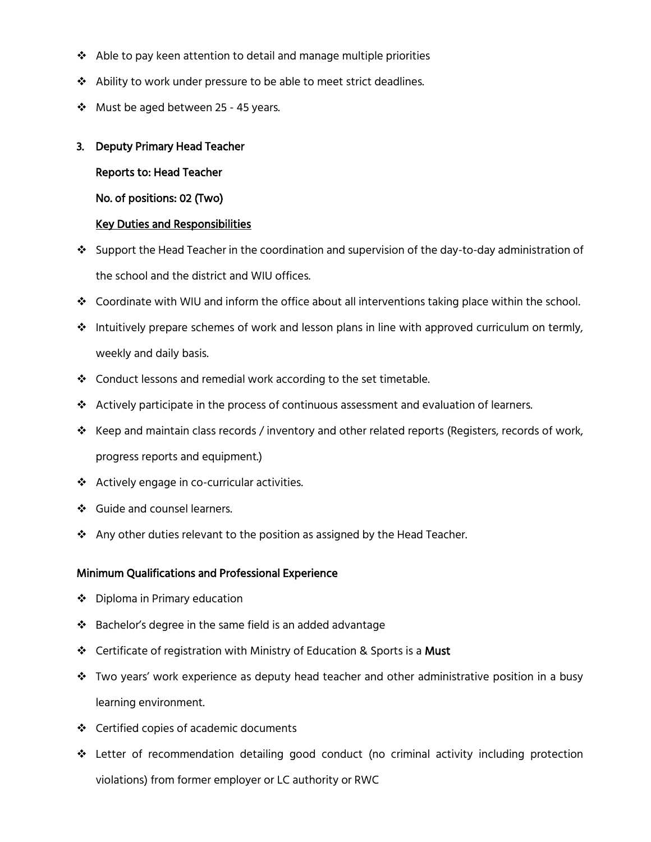- $\cdot$  Able to pay keen attention to detail and manage multiple priorities
- ❖ Ability to work under pressure to be able to meet strict deadlines.
- $\cdot$  Must be aged between 25 45 years.

# 3. Deputy Primary Head Teacher

Reports to: Head Teacher

No. of positions: 02 (Two)

### Key Duties and Responsibilities

- Support the Head Teacher in the coordination and supervision of the day-to-day administration of the school and the district and WIU offices.
- ◆ Coordinate with WIU and inform the office about all interventions taking place within the school.
- \* Intuitively prepare schemes of work and lesson plans in line with approved curriculum on termly, weekly and daily basis.
- Conduct lessons and remedial work according to the set timetable.
- $\triangleleft$  Actively participate in the process of continuous assessment and evaluation of learners.
- $\div$  Keep and maintain class records / inventory and other related reports (Registers, records of work, progress reports and equipment.)
- Actively engage in co-curricular activities.
- Guide and counsel learners.
- ❖ Any other duties relevant to the position as assigned by the Head Teacher.

# Minimum Qualifications and Professional Experience

- ❖ Diploma in Primary education
- $\cdot$  Bachelor's degree in the same field is an added advantage
- Certificate of registration with Ministry of Education & Sports is a Must
- $\clubsuit$  Two years' work experience as deputy head teacher and other administrative position in a busy learning environment.
- Certified copies of academic documents
- Letter of recommendation detailing good conduct (no criminal activity including protection violations) from former employer or LC authority or RWC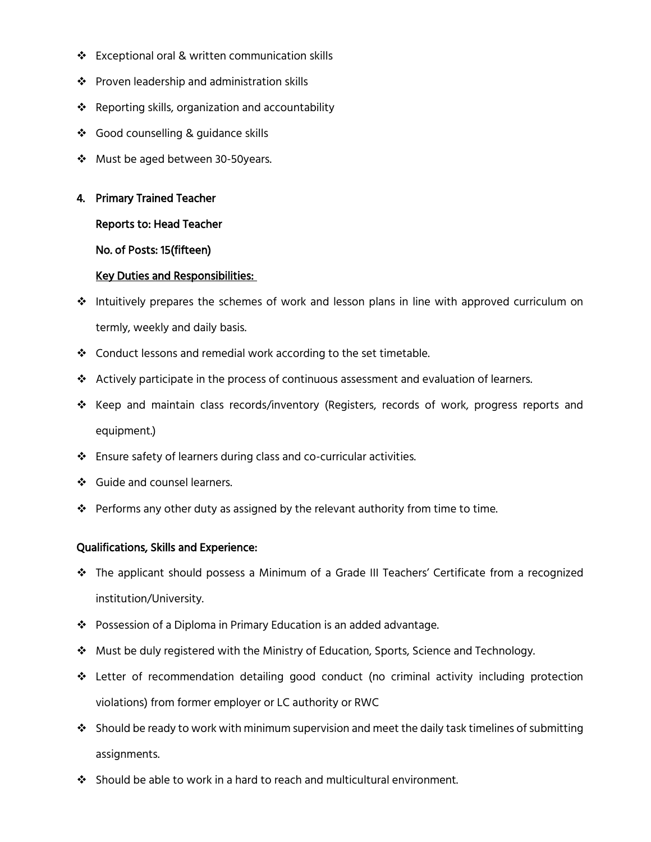- Exceptional oral & written communication skills
- ❖ Proven leadership and administration skills
- $\cdot$  Reporting skills, organization and accountability
- ❖ Good counselling & guidance skills
- ❖ Must be aged between 30-50years.

# 4. Primary Trained Teacher

### Reports to: Head Teacher

### No. of Posts: 15(fifteen)

# Key Duties and Responsibilities:

- $\cdot \cdot$  Intuitively prepares the schemes of work and lesson plans in line with approved curriculum on termly, weekly and daily basis.
- $\div$  Conduct lessons and remedial work according to the set timetable.
- Actively participate in the process of continuous assessment and evaluation of learners.
- \* Keep and maintain class records/inventory (Registers, records of work, progress reports and equipment.)
- Ensure safety of learners during class and co-curricular activities.
- Guide and counsel learners.
- $\hat{\mathbf{v}}$  Performs any other duty as assigned by the relevant authority from time to time.

# Qualifications, Skills and Experience:

- The applicant should possess a Minimum of a Grade III Teachers' Certificate from a recognized institution/University.
- Possession of a Diploma in Primary Education is an added advantage.
- $\clubsuit$  Must be duly registered with the Ministry of Education, Sports, Science and Technology.
- Letter of recommendation detailing good conduct (no criminal activity including protection violations) from former employer or LC authority or RWC
- $\cdot$  Should be ready to work with minimum supervision and meet the daily task timelines of submitting assignments.
- $\clubsuit$  Should be able to work in a hard to reach and multicultural environment.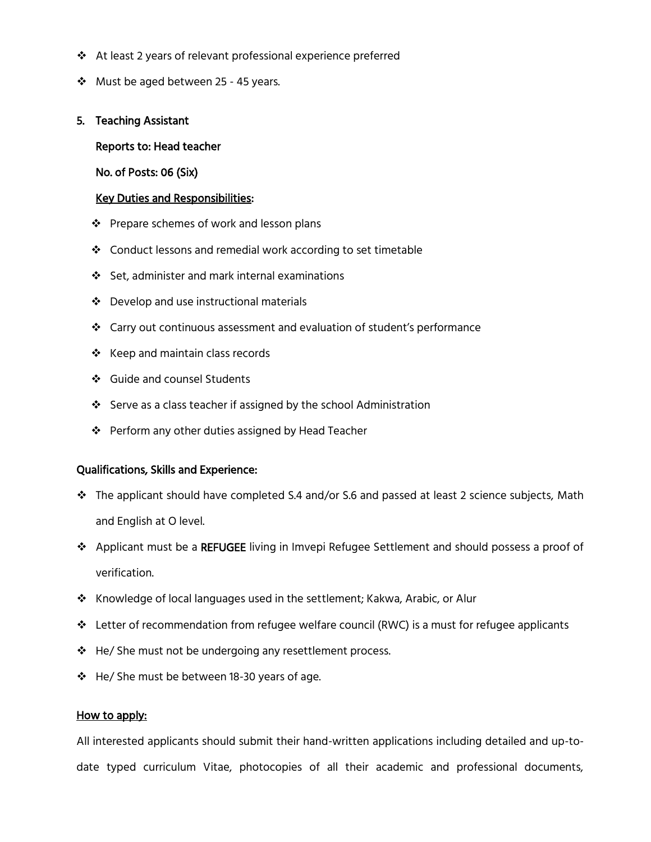- At least 2 years of relevant professional experience preferred
- ❖ Must be aged between 25 45 years.

#### 5. Teaching Assistant

#### Reports to: Head teacher

No. of Posts: 06 (Six)

#### Key Duties and Responsibilities:

- ❖ Prepare schemes of work and lesson plans
- ❖ Conduct lessons and remedial work according to set timetable
- Set, administer and mark internal examinations
- Develop and use instructional materials
- Carry out continuous assessment and evaluation of student's performance
- $\div$  Keep and maintain class records
- Guide and counsel Students
- ❖ Serve as a class teacher if assigned by the school Administration
- $\cdot \cdot$  Perform any other duties assigned by Head Teacher

#### Qualifications, Skills and Experience:

- $\div$  The applicant should have completed S.4 and/or S.6 and passed at least 2 science subjects, Math and English at O level.
- Applicant must be a REFUGEE living in Imvepi Refugee Settlement and should possess a proof of verification.
- Knowledge of local languages used in the settlement; Kakwa, Arabic, or Alur
- Letter of recommendation from refugee welfare council (RWC) is a must for refugee applicants
- ❖ He/ She must not be undergoing any resettlement process.
- $\div$  He/ She must be between 18-30 years of age.

#### How to apply:

All interested applicants should submit their hand-written applications including detailed and up-todate typed curriculum Vitae, photocopies of all their academic and professional documents,